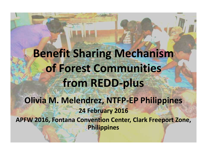### **Benefit Sharing Mechanism of Forest Communities from REDD-plus Olivia M. Melendrez, NTFP-EP Philippines 24 February 2016 APFW 2016, Fontana Convention Center, Clark Freeport Zone, Philippines**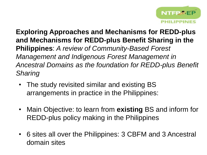

**Exploring Approaches and Mechanisms for REDD-plus and Mechanisms for REDD-plus Benefit Sharing in the Philippines**: *A review of Community-Based Forest Management and Indigenous Forest Management in Ancestral Domains as the foundation for REDD-plus Benefit Sharing* 

- The study revisited similar and existing BS arrangements in practice in the Philippines:
- Main Objective: to learn from **existing** BS and inform for REDD-plus policy making in the Philippines
- 6 sites all over the Philippines: 3 CBFM and 3 Ancestral domain sites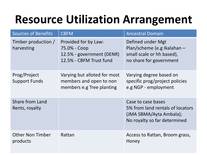# **Resource Utilization Arrangement**

| <b>Sources of Benefits</b>           | <b>CBFM</b>                                                                                  | <b>Ancestral Domain</b>                                                                                           |
|--------------------------------------|----------------------------------------------------------------------------------------------|-------------------------------------------------------------------------------------------------------------------|
| Timber production /<br>harvesting    | Provided for by Law:<br>75.0% - Coop<br>12.5% - government (DENR)<br>12.5% - CBFM Trust fund | Defined under Mgt<br>Plan/scheme (e.g Ikalahan -<br>small scale or hh based),<br>no share for government          |
| Prog/Project<br><b>Support Funds</b> | Varying but alloted for most<br>members and open to non<br>members e.g Tree planting         | Varying degree based on<br>specific prog/project policies<br>e.g NGP - employment                                 |
| Share from Land<br>Rents, royalty    |                                                                                              | Case to case bases<br>5% from land rentals of locators<br>(JMA SBMA/Ayta Ambala);<br>No royalty so far determined |
| <b>Other Non Timber</b><br>products  | Rattan                                                                                       | Access to Rattan, Broom grass,<br>Honey                                                                           |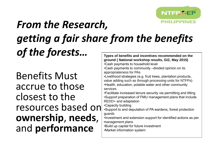

#### *From the Research, getting a fair share from the benefits of the forests…* **Types of benefits and incentives recommended on the**

Benefits Must accrue to those closest to the resources based on **ownership**, **needs**, and **performance** 

**ground ( National workshop results, GIZ, May 2015)** •Cash payments to household level •Cash payments to community –divided opinion on its appropriateness for PAs •Livelihood strategies (e.g. fruit trees, plantation products, value adding such as through processing units for NTFPs) •Health, education, potable water and other community services •Facilitate increased tenure security via permitting and titling •Support preparation of FMU management plans that include REDD+ and adaptation •Capacity building •Support to and deputation of PA wardens, forest protection guards •Investment and extension support for identified actions as per management plans •Build up capital for future investment •Market information system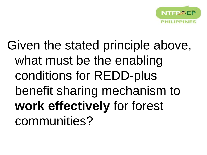

Given the stated principle above, what must be the enabling conditions for REDD-plus benefit sharing mechanism to **work effectively** for forest communities?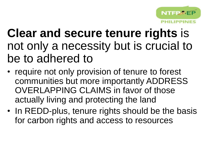

## **Clear and secure tenure rights** is not only a necessity but is crucial to be to adhered to

- require not only provision of tenure to forest communities but more importantly ADDRESS OVERLAPPING CLAIMS in favor of those actually living and protecting the land
- In REDD-plus, tenure rights should be the basis for carbon rights and access to resources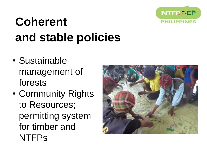

# **Coherent and stable policies**

- Sustainable management of forests
- Community Rights to Resources; permitting system for timber and **NTFPs**